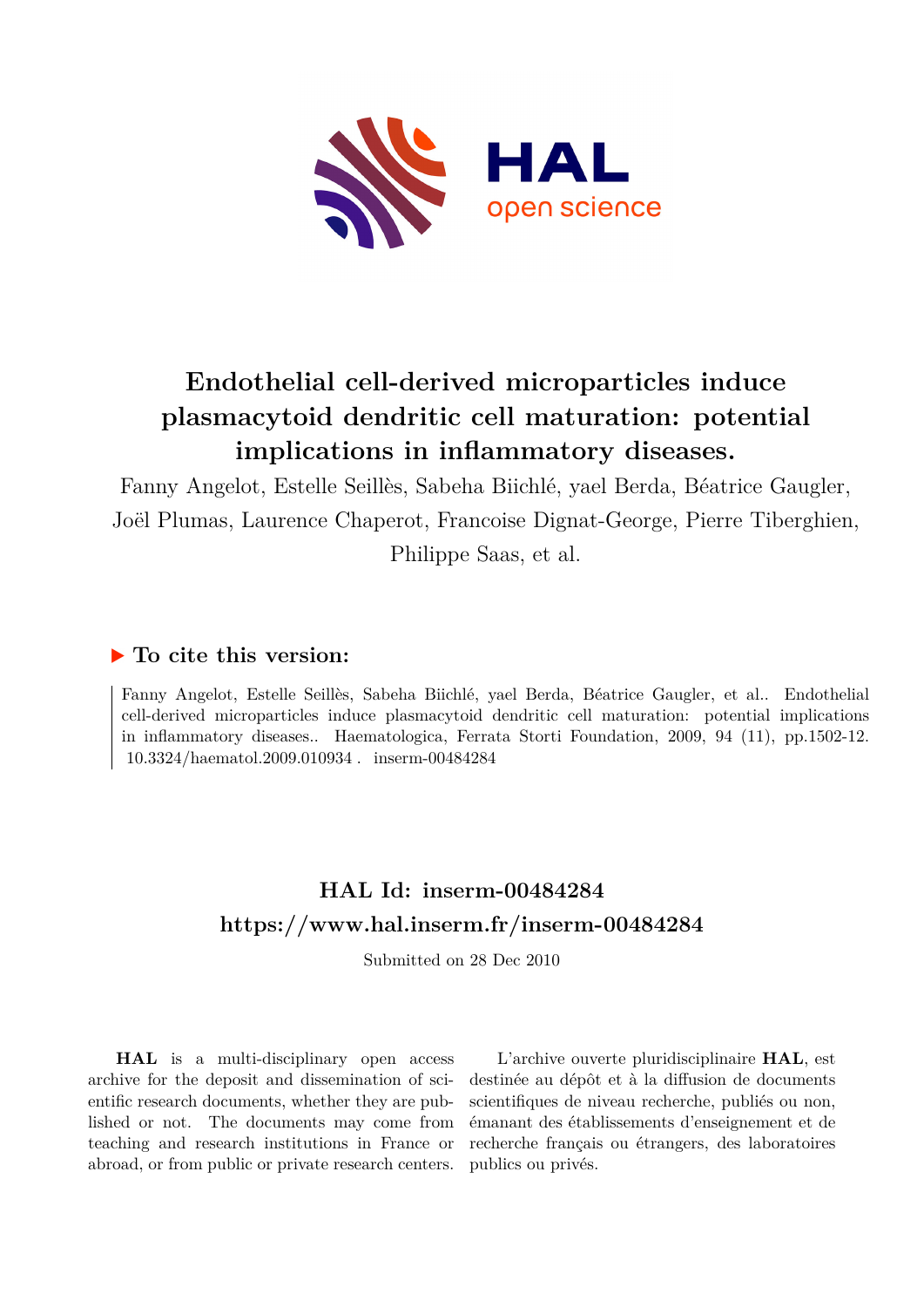

# **Endothelial cell-derived microparticles induce plasmacytoid dendritic cell maturation: potential implications in inflammatory diseases.**

Fanny Angelot, Estelle Seillès, Sabeha Biichlé, yael Berda, Béatrice Gaugler, Joël Plumas, Laurence Chaperot, Francoise Dignat-George, Pierre Tiberghien, Philippe Saas, et al.

# **To cite this version:**

Fanny Angelot, Estelle Seillès, Sabeha Biichlé, yael Berda, Béatrice Gaugler, et al.. Endothelial cell-derived microparticles induce plasmacytoid dendritic cell maturation: potential implications in inflammatory diseases.. Haematologica, Ferrata Storti Foundation, 2009, 94 (11), pp.1502-12. 10.3324/haematol.2009.010934 . inserm-00484284

# **HAL Id: inserm-00484284 <https://www.hal.inserm.fr/inserm-00484284>**

Submitted on 28 Dec 2010

**HAL** is a multi-disciplinary open access archive for the deposit and dissemination of scientific research documents, whether they are published or not. The documents may come from teaching and research institutions in France or abroad, or from public or private research centers.

L'archive ouverte pluridisciplinaire **HAL**, est destinée au dépôt et à la diffusion de documents scientifiques de niveau recherche, publiés ou non, émanant des établissements d'enseignement et de recherche français ou étrangers, des laboratoires publics ou privés.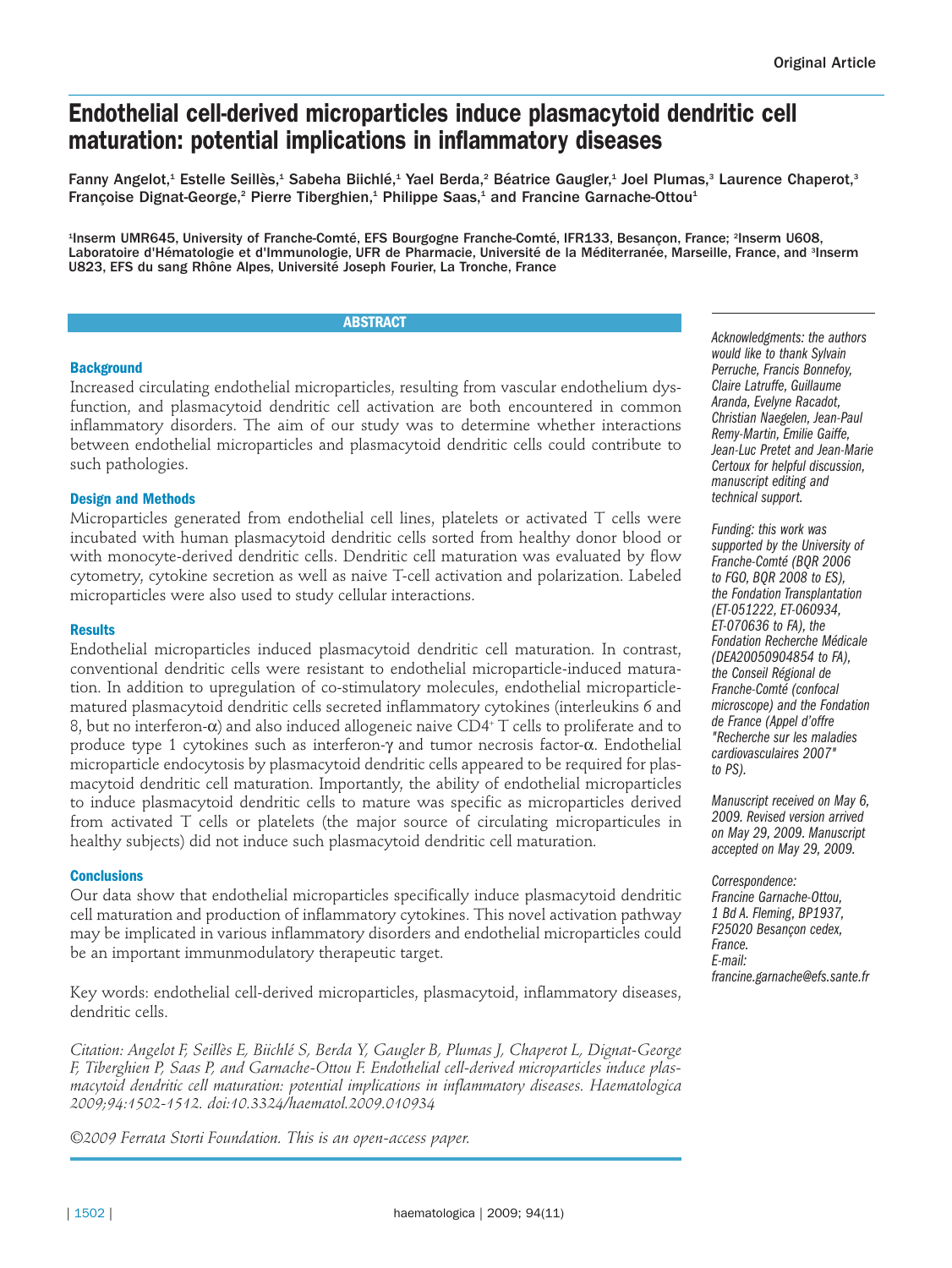# **Endothelial cell-derived microparticles induce plasmacytoid dendritic cell maturation: potential implications in inflammatory diseases**

Fanny Angelot,<sup>1</sup> Estelle Seillès,<sup>1</sup> Sabeha Biichlé,<sup>1</sup> Yael Berda,<sup>2</sup> Béatrice Gaugler,<sup>1</sup> Joel Plumas,<sup>3</sup> Laurence Chaperot,<sup>3</sup> Françoise Dignat-George,<sup>2</sup> Pierre Tiberghien,<sup>1</sup> Philippe Saas,<sup>1</sup> and Francine Garnache-Ottou<sup>1</sup>

1 Inserm UMR645, University of Franche-Comté, EFS Bourgogne Franche-Comté, IFR133, Besançon, France; 2 Inserm U608, Laboratoire d'Hématologie et d'Immunologie, UFR de Pharmacie, Université de la Méditerranée, Marseille, France, and <sup>3</sup>Inserm U823, EFS du sang Rhône Alpes, Université Joseph Fourier, La Tronche, France

### **ABSTRACT**

#### **Background**

Increased circulating endothelial microparticles, resulting from vascular endothelium dysfunction, and plasmacytoid dendritic cell activation are both encountered in common inflammatory disorders. The aim of our study was to determine whether interactions between endothelial microparticles and plasmacytoid dendritic cells could contribute to such pathologies.

#### **Design and Methods**

Microparticles generated from endothelial cell lines, platelets or activated T cells were incubated with human plasmacytoid dendritic cells sorted from healthy donor blood or with monocyte-derived dendritic cells. Dendritic cell maturation was evaluated by flow cytometry, cytokine secretion as well as naive T-cell activation and polarization. Labeled microparticles were also used to study cellular interactions.

#### **Results**

Endothelial microparticles induced plasmacytoid dendritic cell maturation. In contrast, conventional dendritic cells were resistant to endothelial microparticle-induced maturation. In addition to upregulation of co-stimulatory molecules, endothelial microparticlematured plasmacytoid dendritic cells secreted inflammatory cytokines (interleukins 6 and 8, but no interferon-α) and also induced allogeneic naive CD4+ T cells to proliferate and to produce type 1 cytokines such as interferon-γ and tumor necrosis factor-α. Endothelial microparticle endocytosis by plasmacytoid dendritic cells appeared to be required for plasmacytoid dendritic cell maturation. Importantly, the ability of endothelial microparticles to induce plasmacytoid dendritic cells to mature was specific as microparticles derived from activated T cells or platelets (the major source of circulating microparticules in healthy subjects) did not induce such plasmacytoid dendritic cell maturation.

#### **Conclusions**

Our data show that endothelial microparticles specifically induce plasmacytoid dendritic cell maturation and production of inflammatory cytokines. This novel activation pathway may be implicated in various inflammatory disorders and endothelial microparticles could be an important immunmodulatory therapeutic target.

Key words: endothelial cell-derived microparticles, plasmacytoid, inflammatory diseases, dendritic cells.

*Citation: Angelot F, Seillès E, Biichlé S, Berda Y, Gaugler B, Plumas J, Chaperot L, Dignat-George F, Tiberghien P, Saas P, and Garnache-Ottou F. Endothelial cell-derived microparticles induce plasmacytoid dendritic cell maturation: potential implications in inflammatory diseases. Haematologica 2009;94:1502-1512. doi:10.3324/haematol.2009.010934* 

*©2009 Ferrata Storti Foundation. This is an open-access paper.* 

*Acknowledgments: the authors would like to thank Sylvain Perruche, Francis Bonnefoy, Claire Latruffe, Guillaume Aranda, Evelyne Racadot, Christian Naegelen, Jean-Paul Remy-Martin, Emilie Gaiffe, Jean-Luc Pretet and Jean-Marie Certoux for helpful discussion, manuscript editing and technical support.*

*Funding: this work was supported by the University of Franche-Comté (BQR 2006 to FGO, BQR 2008 to ES), the Fondation Transplantation (ET-051222, ET-060934, ET-070636 to FA), the Fondation Recherche Médicale (DEA20050904854 to FA), the Conseil Régional de Franche-Comté (confocal microscope) and the Fondation de France (Appel d'offre "Recherche sur les maladies cardiovasculaires 2007" to PS).*

*Manuscript received on May 6, 2009. Revised version arrived on May 29, 2009. Manuscript accepted on May 29, 2009.*

*Correspondence: Francine Garnache-Ottou, 1 Bd A. Fleming, BP1937, F25020 Besançon cedex, France. E-mail: francine.garnache@efs.sante.fr*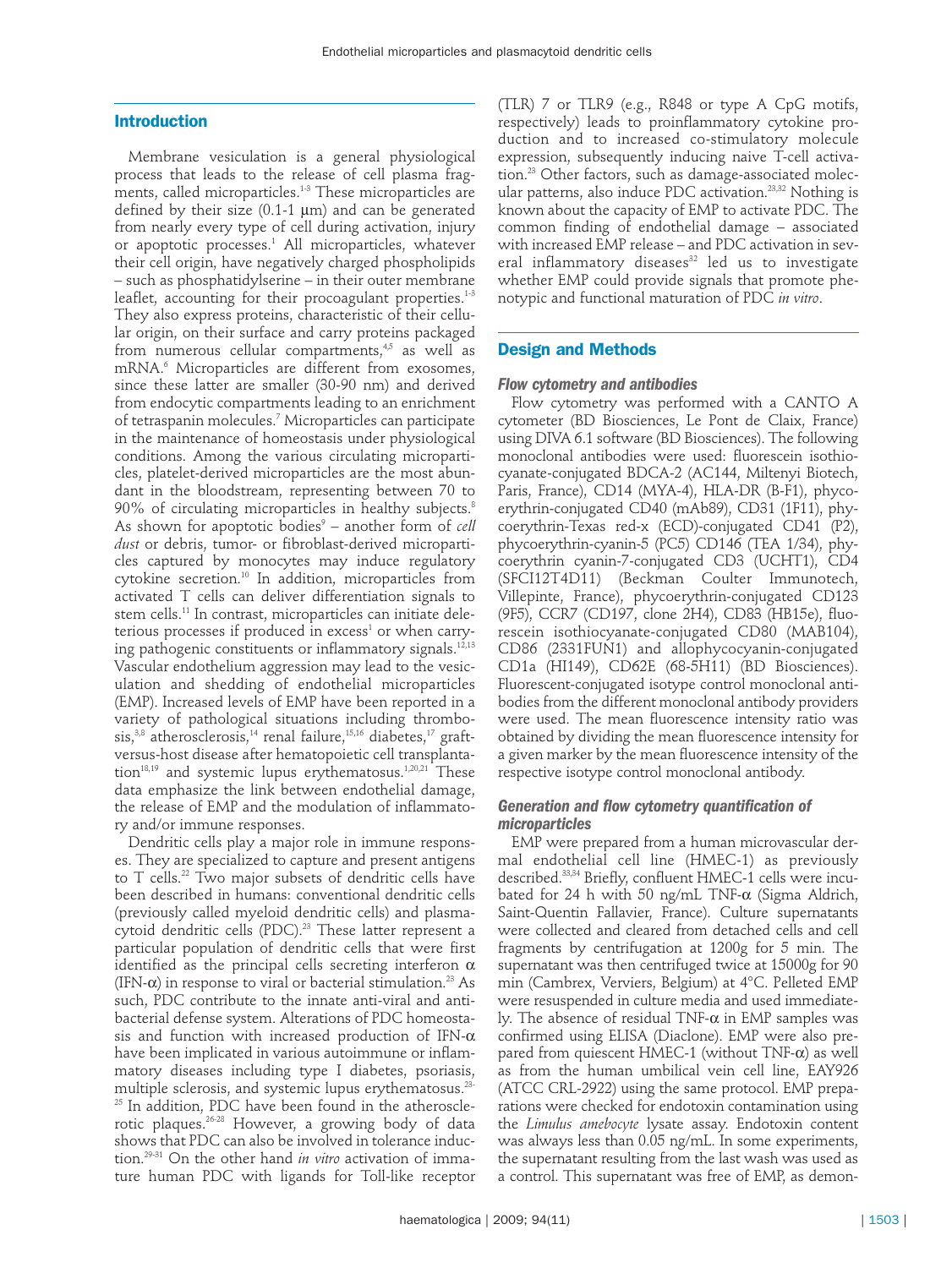#### **Introduction**

Membrane vesiculation is a general physiological process that leads to the release of cell plasma fragments, called microparticles.<sup>1-3</sup> These microparticles are defined by their size  $(0.1-1 \mu m)$  and can be generated from nearly every type of cell during activation, injury or apoptotic processes.<sup>1</sup> All microparticles, whatever their cell origin, have negatively charged phospholipids – such as phosphatidylserine – in their outer membrane leaflet, accounting for their procoagulant properties.<sup>1-3</sup> They also express proteins, characteristic of their cellular origin, on their surface and carry proteins packaged from numerous cellular compartments, $4,5$  as well as mRNA.<sup>6</sup> Microparticles are different from exosomes, since these latter are smaller (30-90 nm) and derived from endocytic compartments leading to an enrichment of tetraspanin molecules.7 Microparticles can participate in the maintenance of homeostasis under physiological conditions. Among the various circulating microparticles, platelet-derived microparticles are the most abundant in the bloodstream, representing between 70 to 90% of circulating microparticles in healthy subjects.<sup>8</sup> As shown for apoptotic bodies<sup>9</sup> – another form of *cell dust* or debris, tumor- or fibroblast-derived microparticles captured by monocytes may induce regulatory cytokine secretion.10 In addition, microparticles from activated T cells can deliver differentiation signals to stem cells.<sup>11</sup> In contrast, microparticles can initiate deleterious processes if produced in excess<sup>1</sup> or when carrying pathogenic constituents or inflammatory signals. $^{12,13}$ Vascular endothelium aggression may lead to the vesiculation and shedding of endothelial microparticles (EMP). Increased levels of EMP have been reported in a variety of pathological situations including thrombosis,<sup>3,8</sup> atherosclerosis,<sup>14</sup> renal failure,<sup>15,16</sup> diabetes,<sup>17</sup> graftversus-host disease after hematopoietic cell transplantation<sup>18,19</sup> and systemic lupus erythematosus.<sup>1,20,21</sup> These data emphasize the link between endothelial damage, the release of EMP and the modulation of inflammatory and/or immune responses.

Dendritic cells play a major role in immune responses. They are specialized to capture and present antigens to T cells.<sup>22</sup> Two major subsets of dendritic cells have been described in humans: conventional dendritic cells (previously called myeloid dendritic cells) and plasmacytoid dendritic cells (PDC).<sup>23</sup> These latter represent a particular population of dendritic cells that were first identified as the principal cells secreting interferon  $\alpha$ (IFN- $\alpha$ ) in response to viral or bacterial stimulation.<sup>23</sup> As such, PDC contribute to the innate anti-viral and antibacterial defense system. Alterations of PDC homeostasis and function with increased production of IFN- $\alpha$ have been implicated in various autoimmune or inflammatory diseases including type I diabetes, psoriasis, multiple sclerosis, and systemic lupus erythematosus.23- <sup>25</sup> In addition, PDC have been found in the atherosclerotic plaques.26-28 However, a growing body of data shows that PDC can also be involved in tolerance induction.29-31 On the other hand *in vitro* activation of immature human PDC with ligands for Toll-like receptor (TLR) 7 or TLR9 (e.g., R848 or type A CpG motifs, respectively) leads to proinflammatory cytokine production and to increased co-stimulatory molecule expression, subsequently inducing naive T-cell activation.23 Other factors, such as damage-associated molecular patterns, also induce PDC activation.23,32 Nothing is known about the capacity of EMP to activate PDC. The common finding of endothelial damage – associated with increased EMP release – and PDC activation in several inflammatory diseases<sup>32</sup> led us to investigate whether EMP could provide signals that promote phenotypic and functional maturation of PDC *in vitro*.

#### **Design and Methods**

#### *Flow cytometry and antibodies*

Flow cytometry was performed with a CANTO A cytometer (BD Biosciences, Le Pont de Claix, France) using DIVA 6.1 software (BD Biosciences). The following monoclonal antibodies were used: fluorescein isothiocyanate-conjugated BDCA-2 (AC144, Miltenyi Biotech, Paris, France), CD14 (MYA-4), HLA-DR (B-F1), phycoerythrin-conjugated CD40 (mAb89), CD31 (1F11), phycoerythrin-Texas red-x (ECD)-conjugated CD41 (P2), phycoerythrin-cyanin-5 (PC5) CD146 (TEA 1/34), phycoerythrin cyanin-7-conjugated CD3 (UCHT1), CD4 (SFCI12T4D11) (Beckman Coulter Immunotech, Villepinte, France), phycoerythrin-conjugated CD123 (9F5), CCR7 (CD197, clone 2H4), CD83 (HB15e), fluorescein isothiocyanate-conjugated CD80 (MAB104), CD86 (2331FUN1) and allophycocyanin-conjugated CD1a (HI149), CD62E (68-5H11) (BD Biosciences). Fluorescent-conjugated isotype control monoclonal antibodies from the different monoclonal antibody providers were used. The mean fluorescence intensity ratio was obtained by dividing the mean fluorescence intensity for a given marker by the mean fluorescence intensity of the respective isotype control monoclonal antibody.

#### *Generation and flow cytometry quantification of microparticles*

EMP were prepared from a human microvascular dermal endothelial cell line (HMEC-1) as previously described.33,34 Briefly, confluent HMEC-1 cells were incubated for 24 h with 50 ng/mL TNF- $\alpha$  (Sigma Aldrich, Saint-Quentin Fallavier, France). Culture supernatants were collected and cleared from detached cells and cell fragments by centrifugation at 1200g for 5 min. The supernatant was then centrifuged twice at 15000g for 90 min (Cambrex, Verviers, Belgium) at 4°C. Pelleted EMP were resuspended in culture media and used immediately. The absence of residual TNF-α in EMP samples was confirmed using ELISA (Diaclone). EMP were also prepared from quiescent HMEC-1 (without TNF-α) as well as from the human umbilical vein cell line, EAY926 (ATCC CRL-2922) using the same protocol. EMP preparations were checked for endotoxin contamination using the *Limulus amebocyte* lysate assay. Endotoxin content was always less than 0.05 ng/mL. In some experiments, the supernatant resulting from the last wash was used as a control. This supernatant was free of EMP, as demon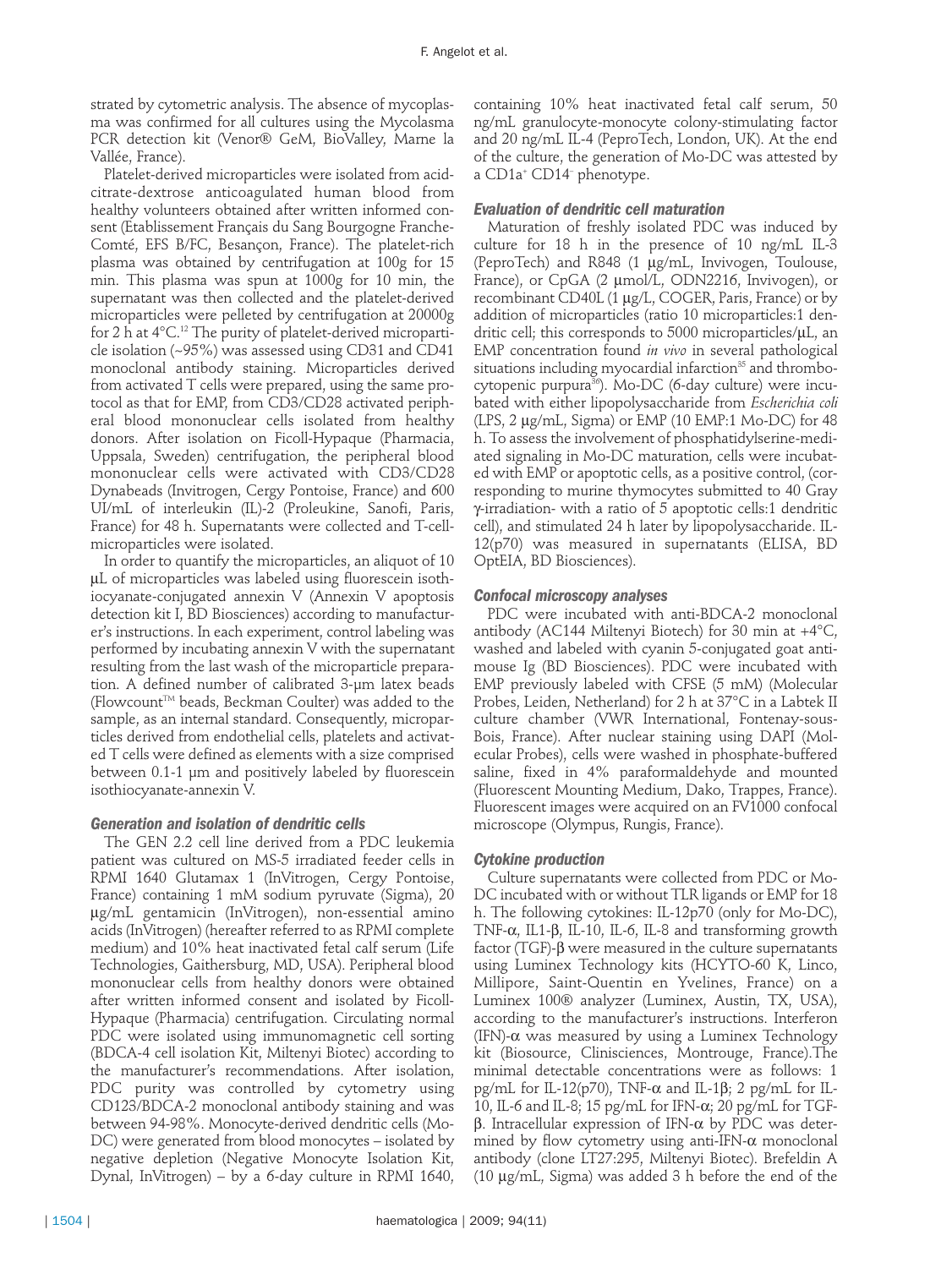strated by cytometric analysis. The absence of mycoplasma was confirmed for all cultures using the Mycolasma PCR detection kit (Venor® GeM, BioValley, Marne la Vallée, France).

Platelet-derived microparticles were isolated from acidcitrate-dextrose anticoagulated human blood from healthy volunteers obtained after written informed consent (Etablissement Français du Sang Bourgogne Franche-Comté, EFS B/FC, Besançon, France). The platelet-rich plasma was obtained by centrifugation at 100g for 15 min. This plasma was spun at 1000g for 10 min, the supernatant was then collected and the platelet-derived microparticles were pelleted by centrifugation at 20000g for 2 h at 4°C.12 The purity of platelet-derived microparticle isolation (~95%) was assessed using CD31 and CD41 monoclonal antibody staining. Microparticles derived from activated T cells were prepared, using the same protocol as that for EMP, from CD3/CD28 activated peripheral blood mononuclear cells isolated from healthy donors. After isolation on Ficoll-Hypaque (Pharmacia, Uppsala, Sweden) centrifugation, the peripheral blood mononuclear cells were activated with CD3/CD28 Dynabeads (Invitrogen, Cergy Pontoise, France) and 600 UI/mL of interleukin (IL)-2 (Proleukine, Sanofi, Paris, France) for 48 h. Supernatants were collected and T-cellmicroparticles were isolated.

In order to quantify the microparticles, an aliquot of 10 µL of microparticles was labeled using fluorescein isothiocyanate-conjugated annexin V (Annexin V apoptosis detection kit I, BD Biosciences) according to manufacturer's instructions. In each experiment, control labeling was performed by incubating annexin V with the supernatant resulting from the last wash of the microparticle preparation. A defined number of calibrated 3-µm latex beads (Flowcount<sup>™</sup> beads, Beckman Coulter) was added to the sample, as an internal standard. Consequently, microparticles derived from endothelial cells, platelets and activated T cells were defined as elements with a size comprised between 0.1-1 µm and positively labeled by fluorescein isothiocyanate-annexin V.

# *Generation and isolation of dendritic cells*

The GEN 2.2 cell line derived from a PDC leukemia patient was cultured on MS-5 irradiated feeder cells in RPMI 1640 Glutamax 1 (InVitrogen, Cergy Pontoise, France) containing 1 mM sodium pyruvate (Sigma), 20 µg/mL gentamicin (InVitrogen), non-essential amino acids (InVitrogen) (hereafter referred to as RPMI complete medium) and 10% heat inactivated fetal calf serum (Life Technologies, Gaithersburg, MD, USA). Peripheral blood mononuclear cells from healthy donors were obtained after written informed consent and isolated by Ficoll-Hypaque (Pharmacia) centrifugation. Circulating normal PDC were isolated using immunomagnetic cell sorting (BDCA-4 cell isolation Kit, Miltenyi Biotec) according to the manufacturer's recommendations. After isolation, PDC purity was controlled by cytometry using CD123/BDCA-2 monoclonal antibody staining and was between 94-98%. Monocyte-derived dendritic cells (Mo-DC) were generated from blood monocytes – isolated by negative depletion (Negative Monocyte Isolation Kit, Dynal, InVitrogen) – by a 6-day culture in RPMI 1640,

containing 10% heat inactivated fetal calf serum, 50 ng/mL granulocyte-monocyte colony-stimulating factor and 20 ng/mL IL-4 (PeproTech, London, UK). At the end of the culture, the generation of Mo-DC was attested by a CD1a+ CD14– phenotype.

#### *Evaluation of dendritic cell maturation*

Maturation of freshly isolated PDC was induced by culture for 18 h in the presence of 10 ng/mL IL-3 (PeproTech) and R848 (1 µg/mL, Invivogen, Toulouse, France), or CpGA (2 µmol/L, ODN2216, Invivogen), or recombinant CD40L (1 µg/L, COGER, Paris, France) or by addition of microparticles (ratio 10 microparticles:1 dendritic cell; this corresponds to 5000 microparticles/µL, an EMP concentration found *in vivo* in several pathological situations including myocardial infarction<sup>35</sup> and thrombocytopenic purpura $36$ ). Mo-DC (6-day culture) were incubated with either lipopolysaccharide from *Escherichia coli* (LPS, 2 µg/mL, Sigma) or EMP (10 EMP:1 Mo-DC) for 48 h. To assess the involvement of phosphatidylserine-mediated signaling in Mo-DC maturation, cells were incubated with EMP or apoptotic cells, as a positive control, (corresponding to murine thymocytes submitted to 40 Gray γ-irradiation- with a ratio of 5 apoptotic cells:1 dendritic cell), and stimulated 24 h later by lipopolysaccharide. IL-12(p70) was measured in supernatants (ELISA, BD OptEIA, BD Biosciences).

# *Confocal microscopy analyses*

PDC were incubated with anti-BDCA-2 monoclonal antibody (AC144 Miltenyi Biotech) for 30 min at +4°C, washed and labeled with cyanin 5-conjugated goat antimouse Ig (BD Biosciences). PDC were incubated with EMP previously labeled with CFSE (5 mM) (Molecular Probes, Leiden, Netherland) for 2 h at 37°C in a Labtek II culture chamber (VWR International, Fontenay-sous-Bois, France). After nuclear staining using DAPI (Molecular Probes), cells were washed in phosphate-buffered saline, fixed in 4% paraformaldehyde and mounted (Fluorescent Mounting Medium, Dako, Trappes, France). Fluorescent images were acquired on an FV1000 confocal microscope (Olympus, Rungis, France).

# *Cytokine production*

Culture supernatants were collected from PDC or Mo-DC incubated with or without TLR ligands or EMP for 18 h. The following cytokines: IL-12p70 (only for Mo-DC), TNF-α, IL1-β, IL-10, IL-6, IL-8 and transforming growth factor (TGF)-β were measured in the culture supernatants using Luminex Technology kits (HCYTO-60 K, Linco, Millipore, Saint-Quentin en Yvelines, France) on a Luminex 100® analyzer (Luminex, Austin, TX, USA), according to the manufacturer's instructions. Interferon (IFN)- $\alpha$  was measured by using a Luminex Technology kit (Biosource, Clinisciences, Montrouge, France).The minimal detectable concentrations were as follows: 1 pg/mL for IL-12(p70), TNF- $\alpha$  and IL-1β; 2 pg/mL for IL-10, IL-6 and IL-8; 15 pg/mL for IFN-α; 20 pg/mL for TGFβ. Intracellular expression of IFN-α by PDC was determined by flow cytometry using anti-IFN-α monoclonal antibody (clone LT27:295, Miltenyi Biotec). Brefeldin A (10 µg/mL, Sigma) was added 3 h before the end of the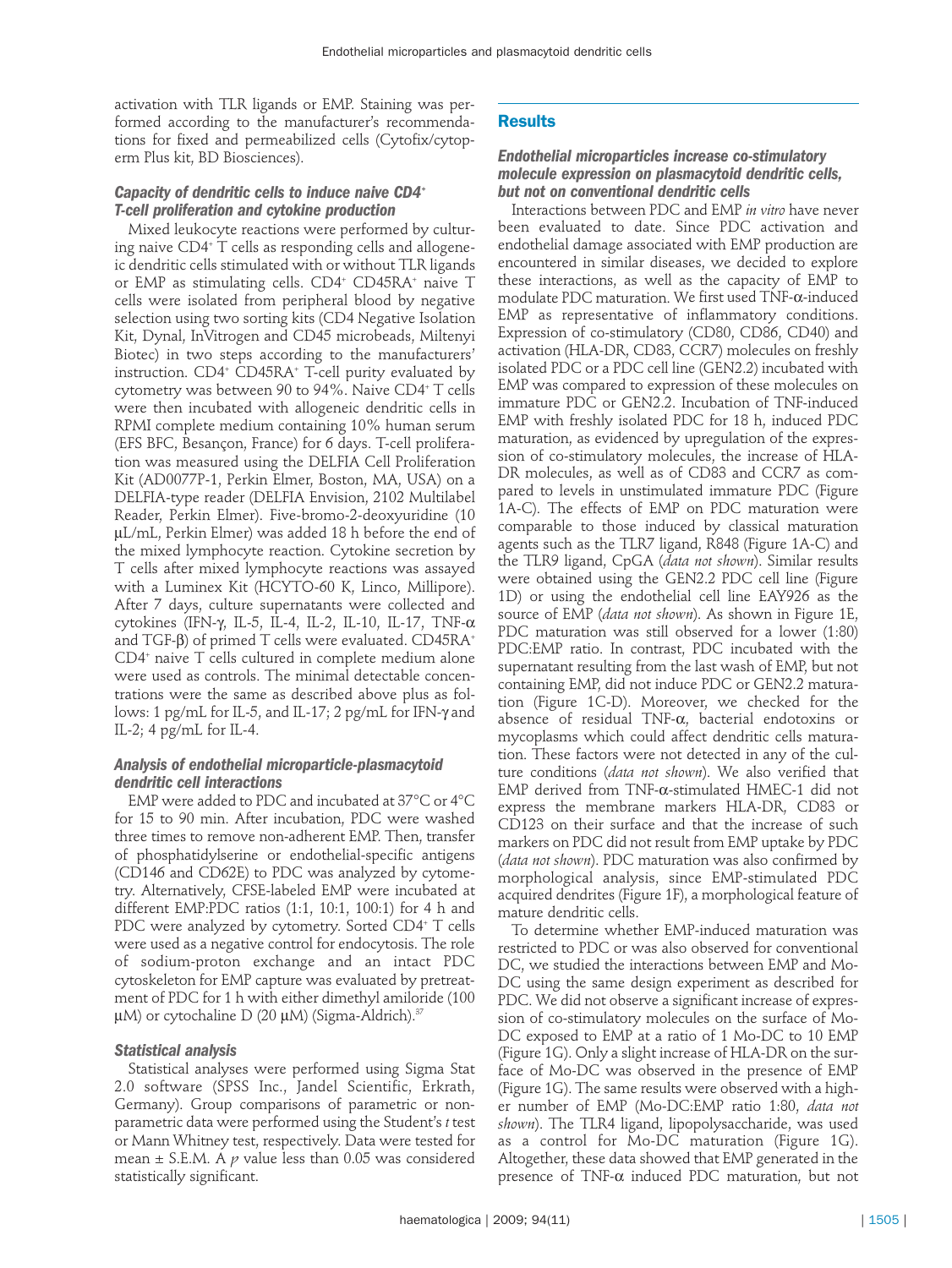activation with TLR ligands or EMP. Staining was performed according to the manufacturer's recommendations for fixed and permeabilized cells (Cytofix/cytoperm Plus kit, BD Biosciences).

#### *Capacity of dendritic cells to induce naive CD4+ T-cell proliferation and cytokine production*

Mixed leukocyte reactions were performed by culturing naive CD4+ T cells as responding cells and allogeneic dendritic cells stimulated with or without TLR ligands or EMP as stimulating cells. CD4+ CD45RA+ naive T cells were isolated from peripheral blood by negative selection using two sorting kits (CD4 Negative Isolation Kit, Dynal, InVitrogen and CD45 microbeads, Miltenyi Biotec) in two steps according to the manufacturers' instruction. CD4+ CD45RA+ T-cell purity evaluated by cytometry was between 90 to 94%. Naive CD4+ T cells were then incubated with allogeneic dendritic cells in RPMI complete medium containing 10% human serum (EFS BFC, Besançon, France) for 6 days. T-cell proliferation was measured using the DELFIA Cell Proliferation Kit (AD0077P-1, Perkin Elmer, Boston, MA, USA) on a DELFIA-type reader (DELFIA Envision, 2102 Multilabel Reader, Perkin Elmer). Five-bromo-2-deoxyuridine (10 µL/mL, Perkin Elmer) was added 18 h before the end of the mixed lymphocyte reaction. Cytokine secretion by T cells after mixed lymphocyte reactions was assayed with a Luminex Kit (HCYTO-60 K, Linco, Millipore). After 7 days, culture supernatants were collected and cytokines (IFN-γ, IL-5, IL-4, IL-2, IL-10, IL-17, TNF-α and TGF-β) of primed T cells were evaluated.  $CD45RA^+$ CD4+ naive T cells cultured in complete medium alone were used as controls. The minimal detectable concentrations were the same as described above plus as follows: 1 pg/mL for IL-5, and IL-17; 2 pg/mL for IFN-γ and IL-2; 4 pg/mL for IL-4.

# *Analysis of endothelial microparticle-plasmacytoid dendritic cell interactions*

EMP were added to PDC and incubated at 37°C or 4°C for 15 to 90 min. After incubation, PDC were washed three times to remove non-adherent EMP. Then, transfer of phosphatidylserine or endothelial-specific antigens (CD146 and CD62E) to PDC was analyzed by cytometry. Alternatively, CFSE-labeled EMP were incubated at different EMP:PDC ratios (1:1, 10:1, 100:1) for 4 h and PDC were analyzed by cytometry. Sorted CD4<sup>+</sup> T cells were used as a negative control for endocytosis. The role of sodium-proton exchange and an intact PDC cytoskeleton for EMP capture was evaluated by pretreatment of PDC for 1 h with either dimethyl amiloride (100  $\mu$ M) or cytochaline D (20  $\mu$ M) (Sigma-Aldrich).<sup>37</sup>

#### *Statistical analysis*

Statistical analyses were performed using Sigma Stat 2.0 software (SPSS Inc., Jandel Scientific, Erkrath, Germany). Group comparisons of parametric or nonparametric data were performed using the Student's *t* test or Mann Whitney test, respectively. Data were tested for mean  $\pm$  S.E.M. A  $\mu$  value less than 0.05 was considered statistically significant.

# **Results**

#### *Endothelial microparticles increase co-stimulatory molecule expression on plasmacytoid dendritic cells, but not on conventional dendritic cells*

Interactions between PDC and EMP *in vitro* have never been evaluated to date. Since PDC activation and endothelial damage associated with EMP production are encountered in similar diseases, we decided to explore these interactions, as well as the capacity of EMP to modulate PDC maturation. We first used TNF-α-induced EMP as representative of inflammatory conditions. Expression of co-stimulatory (CD80, CD86, CD40) and activation (HLA-DR, CD83, CCR7) molecules on freshly isolated PDC or a PDC cell line (GEN2.2) incubated with EMP was compared to expression of these molecules on immature PDC or GEN2.2. Incubation of TNF-induced EMP with freshly isolated PDC for 18 h, induced PDC maturation, as evidenced by upregulation of the expression of co-stimulatory molecules, the increase of HLA-DR molecules, as well as of CD83 and CCR7 as compared to levels in unstimulated immature PDC (Figure 1A-C). The effects of EMP on PDC maturation were comparable to those induced by classical maturation agents such as the TLR7 ligand, R848 (Figure 1A-C) and the TLR9 ligand, CpGA (*data not shown*). Similar results were obtained using the GEN2.2 PDC cell line (Figure 1D) or using the endothelial cell line EAY926 as the source of EMP (*data not shown*). As shown in Figure 1E, PDC maturation was still observed for a lower (1:80) PDC:EMP ratio. In contrast, PDC incubated with the supernatant resulting from the last wash of EMP, but not containing EMP, did not induce PDC or GEN2.2 maturation (Figure 1C-D). Moreover, we checked for the absence of residual TNF-α, bacterial endotoxins or mycoplasms which could affect dendritic cells maturation. These factors were not detected in any of the culture conditions (*data not shown*). We also verified that EMP derived from TNF-α-stimulated HMEC-1 did not express the membrane markers HLA-DR, CD83 or CD123 on their surface and that the increase of such markers on PDC did not result from EMP uptake by PDC (*data not shown*). PDC maturation was also confirmed by morphological analysis, since EMP-stimulated PDC acquired dendrites (Figure 1F), a morphological feature of mature dendritic cells.

To determine whether EMP-induced maturation was restricted to PDC or was also observed for conventional DC, we studied the interactions between EMP and Mo-DC using the same design experiment as described for PDC. We did not observe a significant increase of expression of co-stimulatory molecules on the surface of Mo-DC exposed to EMP at a ratio of 1 Mo-DC to 10 EMP (Figure 1G). Only a slight increase of HLA-DR on the surface of Mo-DC was observed in the presence of EMP (Figure 1G). The same results were observed with a higher number of EMP (Mo-DC:EMP ratio 1:80, *data not shown*). The TLR4 ligand, lipopolysaccharide, was used as a control for Mo-DC maturation (Figure 1G). Altogether, these data showed that EMP generated in the presence of TNF-α induced PDC maturation, but not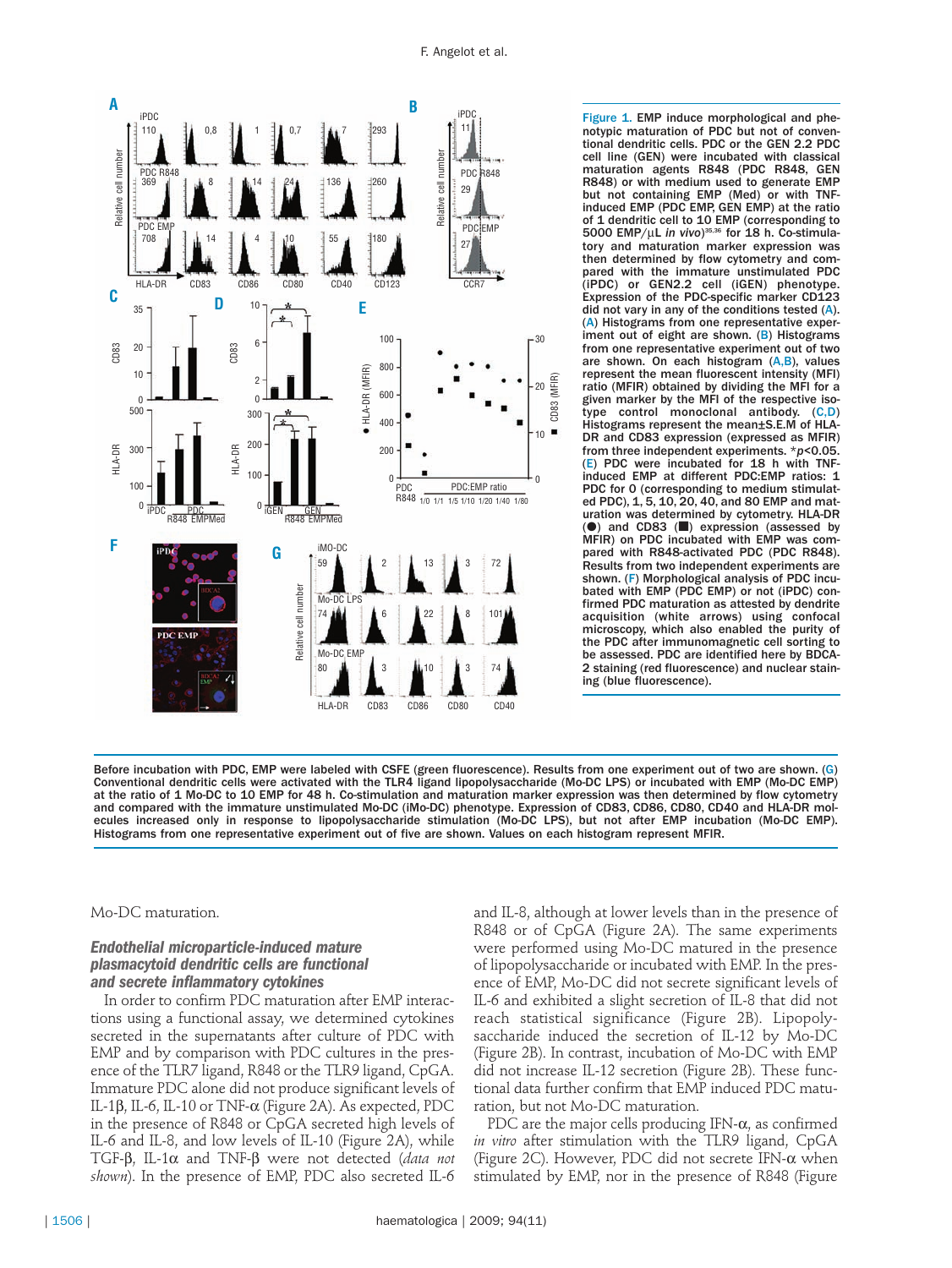

Figure 1. EMP induce morphological and phenotypic maturation of PDC but not of conventional dendritic cells. PDC or the GEN 2.2 PDC cell line (GEN) were incubated with classical maturation agents R848 (PDC R848, GEN R848) or with medium used to generate EMP but not containing EMP (Med) or with TNFinduced EMP (PDC EMP, GEN EMP) at the ratio of 1 dendritic cell to 10 EMP (corresponding to 5000 EMP/µL *in vivo*) 35,36 for 18 h. Co-stimulatory and maturation marker expression was then determined by flow cytometry and compared with the immature unstimulated PDC (iPDC) or GEN2.2 cell (iGEN) phenotype. Expression of the PDC-specific marker CD123 did not vary in any of the conditions tested (A). (A) Histograms from one representative experiment out of eight are shown.  $(B)$  Histograms from one representative experiment out of two are shown. On each histogram (A,B), values represent the mean fluorescent intensity (MFI) ratio (MFIR) obtained by dividing the MFI for a given marker by the MFI of the respective isotype control monoclonal antibody. (C,D) Histograms represent the mean±S.E.M of HLA-DR and CD83 expression (expressed as MFIR) from three independent experiments. \**p*<0.05. (E) PDC were incubated for 18 h with TNFinduced EMP at different PDC:EMP ratios: 1 PDC for 0 (corresponding to medium stimulated PDC), 1, 5, 10, 20, 40, and 80 EMP and maturation was determined by cytometry. HLA-DR (P) and CD83 (M) expression (assessed by MFIR) on PDC incubated with EMP was compared with R848-activated PDC (PDC R848). Results from two independent experiments are shown. (F) Morphological analysis of PDC incubated with EMP (PDC EMP) or not (iPDC) confirmed PDC maturation as attested by dendrite acquisition (white arrows) using confocal microscopy, which also enabled the purity of the PDC after immunomagnetic cell sorting to be assessed. PDC are identified here by BDCA-2 staining (red fluorescence) and nuclear staining (blue fluorescence).

Before incubation with PDC, EMP were labeled with CSFE (green fluorescence). Results from one experiment out of two are shown. (G) Conventional dendritic cells were activated with the TLR4 ligand lipopolysaccharide (Mo-DC LPS) or incubated with EMP (Mo-DC EMP) at the ratio of 1 Mo-DC to 10 EMP for 48 h. Co-stimulation and maturation marker expression was then determined by flow cytometry and compared with the immature unstimulated Mo-DC (iMo-DC) phenotype. Expression of CD83, CD86, CD80, CD40 and HLA-DR molecules increased only in response to lipopolysaccharide stimulation (Mo-DC LPS), but not after EMP incubation (Mo-DC EMP). Histograms from one representative experiment out of five are shown. Values on each histogram represent MFIR.

#### Mo-DC maturation.

# *Endothelial microparticle-induced mature plasmacytoid dendritic cells are functional and secrete inflammatory cytokines*

In order to confirm PDC maturation after EMP interactions using a functional assay, we determined cytokines secreted in the supernatants after culture of PDC with EMP and by comparison with PDC cultures in the presence of the TLR7 ligand, R848 or the TLR9 ligand, CpGA. Immature PDC alone did not produce significant levels of IL-1β, IL-6, IL-10 or TNF-α (Figure 2A). As expected, PDC in the presence of R848 or CpGA secreted high levels of IL-6 and IL-8, and low levels of IL-10 (Figure 2A), while TGF-β, IL-1α and TNF-β were not detected (*data not shown*). In the presence of EMP, PDC also secreted IL-6

and IL-8, although at lower levels than in the presence of R848 or of CpGA (Figure 2A). The same experiments were performed using Mo-DC matured in the presence of lipopolysaccharide or incubated with EMP. In the presence of EMP, Mo-DC did not secrete significant levels of IL-6 and exhibited a slight secretion of IL-8 that did not reach statistical significance (Figure 2B). Lipopolysaccharide induced the secretion of IL-12 by Mo-DC (Figure 2B). In contrast, incubation of Mo-DC with EMP did not increase IL-12 secretion (Figure 2B). These functional data further confirm that EMP induced PDC maturation, but not Mo-DC maturation.

PDC are the major cells producing IFN- $\alpha$ , as confirmed *in vitro* after stimulation with the TLR9 ligand, CpGA (Figure 2C). However, PDC did not secrete IFN-α when stimulated by EMP, nor in the presence of R848 (Figure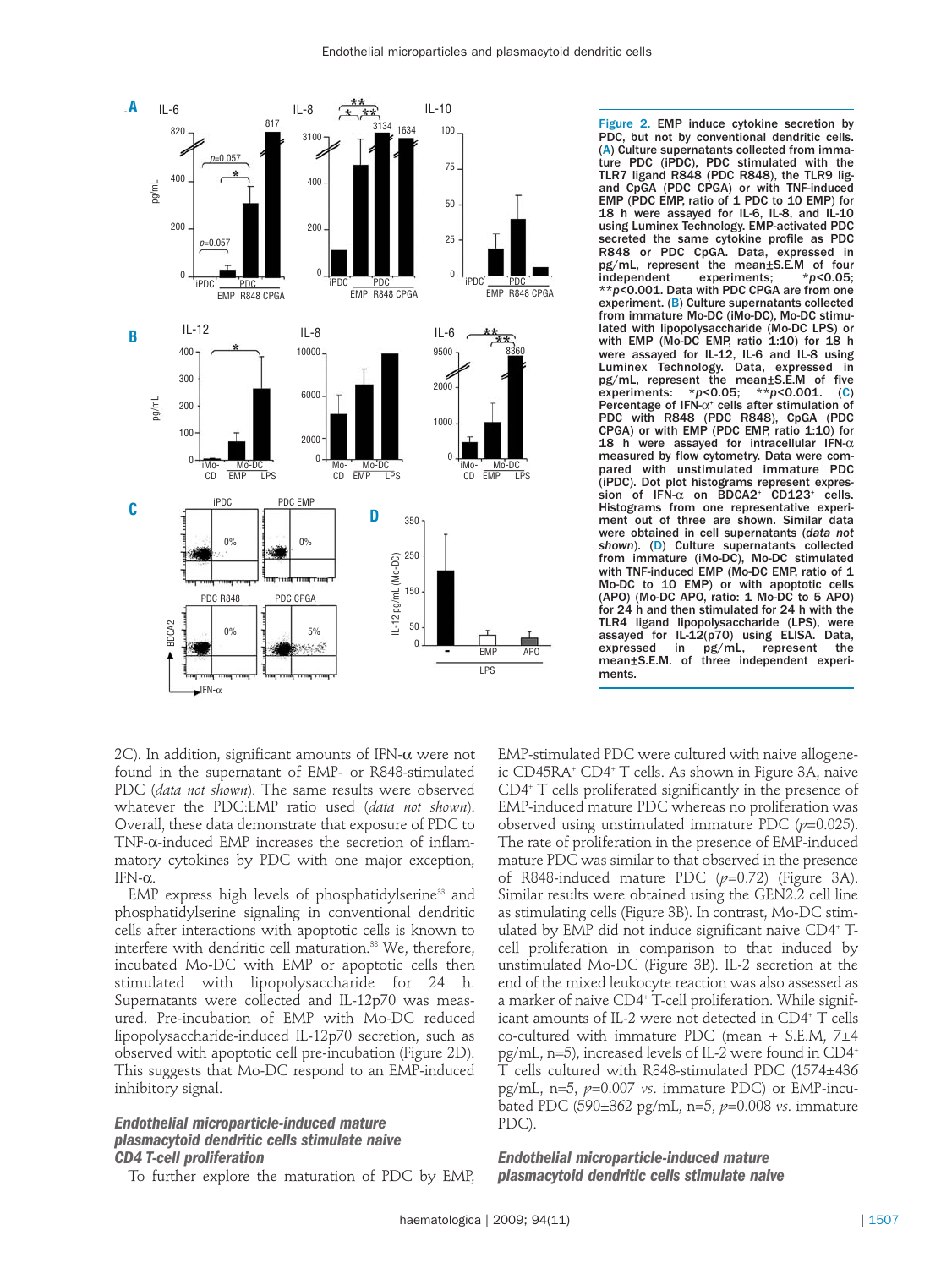

Figure 2. EMP induce cytokine secretion by PDC, but not by conventional dendritic cells. (A) Culture supernatants collected from immature PDC (iPDC), PDC stimulated with the TLR7 ligand R848 (PDC R848), the TLR9 ligand CpGA (PDC CPGA) or with TNF-induced EMP (PDC EMP, ratio of 1 PDC to 10 EMP) for 18 h were assayed for IL-6, IL-8, and IL-10 using Luminex Technology. EMP-activated PDC secreted the same cytokine profile as PDC R848 or PDC CpGA. Data, expressed in pg/mL, represent the mean±S.E.M of four independent experiments; \**p*<0.05; \*\**p*<0.001. Data with PDC CPGA are from one experiment. (B) Culture supernatants collected from immature Mo-DC (iMo-DC), Mo-DC stimulated with lipopolysaccharide (Mo-DC LPS) or with EMP (Mo-DC EMP, ratio  $1:10$ ) for  $18$  h were assayed for IL-12, IL-6 and IL-8 using Luminex Technology. Data, expressed in pg/mL, represent the mean $\pm$ S.E.M of five<br>experiments: \*p<0.05; \*\*p<0.001. (C)  $experiments:$ Percentage of IFN- $\alpha^*$  cells after stimulation of PDC with R848 (PDC R848), CpGA (PDC CPGA) or with EMP (PDC EMP, ratio 1:10) for 18 h were assayed for intracellular IFN- $\alpha$ measured by flow cytometry. Data were compared with unstimulated immature PDC (iPDC). Dot plot histograms represent expression of IFN- $\alpha$  on BDCA2+ CD123+ cells. Histograms from one representative experiment out of three are shown. Similar data were obtained in cell supernatants (*data not shown*). (D) Culture supernatants collected from immature (iMo-DC), Mo-DC stimulated with TNF-induced EMP (Mo-DC EMP, ratio of 1 Mo-DC to 10 EMP) or with apoptotic cells (APO) (Mo-DC APO, ratio: 1 Mo-DC to 5 APO) for 24 h and then stimulated for 24 h with the TLR4 ligand lipopolysaccharide (LPS), were assayed for IL-12(p70) using ELISA. Data, in pg/mL, represent the mean±S.E.M. of three independent experiments.

2C). In addition, significant amounts of IFN-α were not found in the supernatant of EMP- or R848-stimulated PDC (*data not shown*). The same results were observed whatever the PDC:EMP ratio used (*data not shown*). Overall, these data demonstrate that exposure of PDC to TNF-α-induced EMP increases the secretion of inflammatory cytokines by PDC with one major exception, IFN-α.

EMP express high levels of phosphatidylserine<sup>33</sup> and phosphatidylserine signaling in conventional dendritic cells after interactions with apoptotic cells is known to interfere with dendritic cell maturation.<sup>38</sup> We, therefore, incubated Mo-DC with EMP or apoptotic cells then stimulated with lipopolysaccharide for 24 h. Supernatants were collected and IL-12p70 was measured. Pre-incubation of EMP with Mo-DC reduced lipopolysaccharide-induced IL-12p70 secretion, such as observed with apoptotic cell pre-incubation (Figure 2D). This suggests that Mo-DC respond to an EMP-induced inhibitory signal.

### *Endothelial microparticle-induced mature plasmacytoid dendritic cells stimulate naive CD4 T-cell proliferation*

To further explore the maturation of PDC by EMP,

EMP-stimulated PDC were cultured with naive allogeneic CD45RA+ CD4+ T cells. As shown in Figure 3A, naive CD4+ T cells proliferated significantly in the presence of EMP-induced mature PDC whereas no proliferation was observed using unstimulated immature PDC  $(p=0.025)$ . The rate of proliferation in the presence of EMP-induced mature PDC was similar to that observed in the presence of R848-induced mature PDC (*p*=0.72) (Figure 3A). Similar results were obtained using the GEN2.2 cell line as stimulating cells (Figure 3B). In contrast, Mo-DC stimulated by EMP did not induce significant naive CD4+ Tcell proliferation in comparison to that induced by unstimulated Mo-DC (Figure 3B). IL-2 secretion at the end of the mixed leukocyte reaction was also assessed as a marker of naive CD4+ T-cell proliferation. While significant amounts of IL-2 were not detected in CD4+ T cells co-cultured with immature PDC (mean + S.E.M,  $7±4$ pg/mL, n=5), increased levels of IL-2 were found in CD4+ T cells cultured with R848-stimulated PDC (1574±436 pg/mL, n=5, *p*=0.007 *vs*. immature PDC) or EMP-incubated PDC (590±362 pg/mL, n=5, *p*=0.008 *vs*. immature PDC).

*Endothelial microparticle-induced mature plasmacytoid dendritic cells stimulate naive*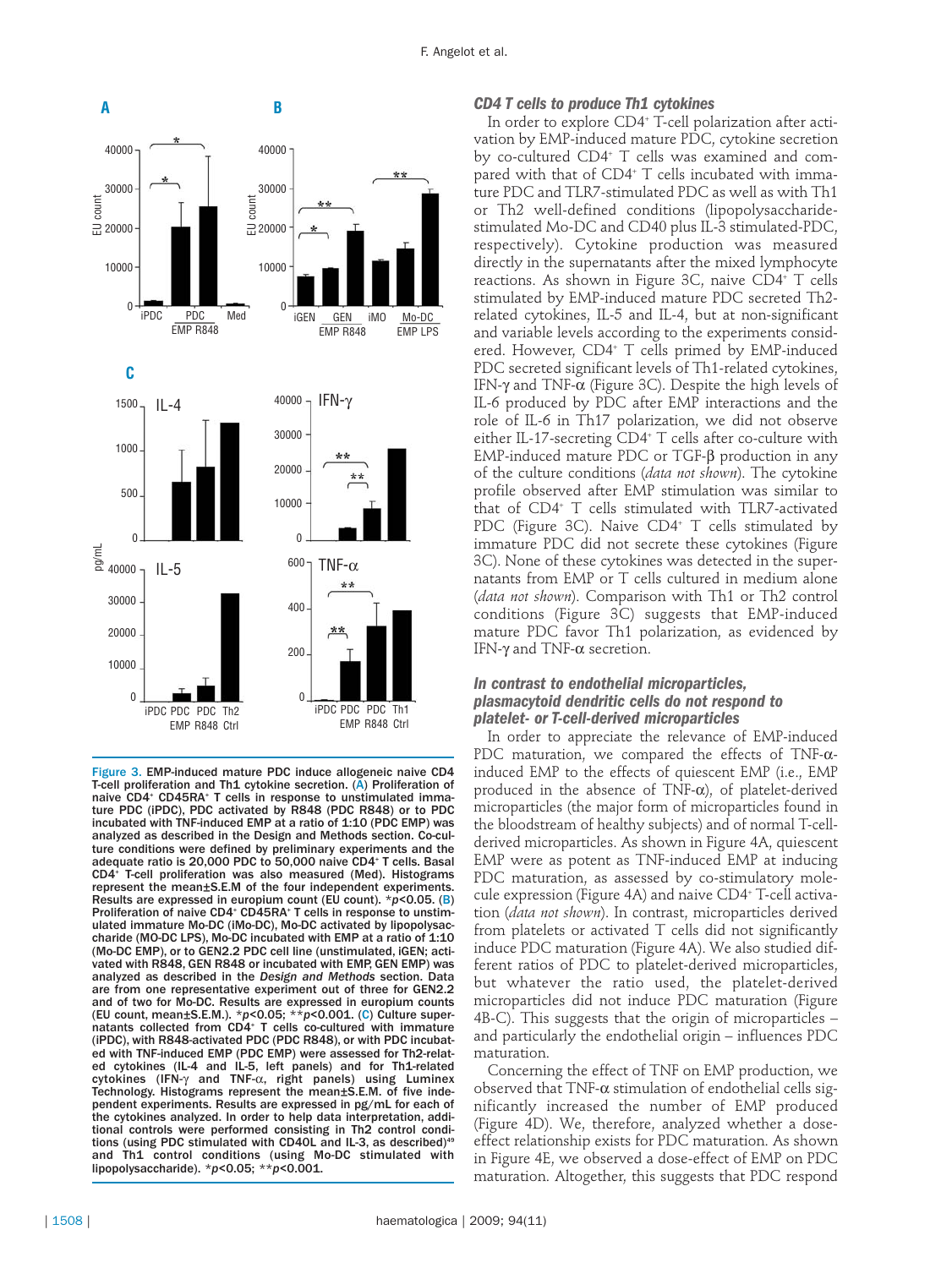

Figure 3. EMP-induced mature PDC induce allogeneic naive CD4 T-cell proliferation and Th1 cytokine secretion.  $(A)$  Proliferation of naive CD4<sup>+</sup> CD45RA<sup>+</sup> T cells in response to unstimulated immature PDC (iPDC), PDC activated by R848 (PDC R848) or to PDC incubated with TNF-induced EMP at a ratio of 1:10 (PDC EMP) was analyzed as described in the Design and Methods section. Co-culture conditions were defined by preliminary experiments and the adequate ratio is 20,000 PDC to 50,000 naive CD4<sup>+</sup> T cells. Basal CD4+ T-cell proliferation was also measured (Med). Histograms represent the mean±S.E.M of the four independent experiments. Results are expressed in europium count (EU count). \**p*<0.05. (B) Proliferation of naive CD4+ CD45RA+ T cells in response to unstimulated immature Mo-DC (iMo-DC), Mo-DC activated by lipopolysaccharide (MO-DC LPS), Mo-DC incubated with EMP at a ratio of 1:10 (Mo-DC EMP), or to GEN2.2 PDC cell line (unstimulated, iGEN; activated with R848, GEN R848 or incubated with EMP, GEN EMP) was analyzed as described in the *Design and Methods* section. Data are from one representative experiment out of three for GEN2.2 and of two for Mo-DC. Results are expressed in europium counts (EU count, mean±S.E.M.). \**p*<0.05; \*\**p*<0.001. (C) Culture supernatants collected from CD4<sup>+</sup> T cells co-cultured with immature (iPDC), with R848-activated PDC (PDC R848), or with PDC incubated with TNF-induced EMP (PDC EMP) were assessed for Th2-related cytokines (IL-4 and IL-5, left panels) and for Th1-related cytokines (IFN-γ and TNF-α, right panels) using Luminex Technology. Histograms represent the mean±S.E.M. of five independent experiments. Results are expressed in pg/mL for each of the cytokines analyzed. In order to help data interpretation, additional controls were performed consisting in Th2 control conditions (using PDC stimulated with CD40L and IL-3, as described) $49$ and Th1 control conditions (using Mo-DC stimulated with lipopolysaccharide). \**p*<0.05; \*\**p*<0.001.

#### *CD4 T cells to produce Th1 cytokines*

In order to explore CD4+ T-cell polarization after activation by EMP-induced mature PDC, cytokine secretion by co-cultured CD4+ T cells was examined and compared with that of CD4<sup>+</sup> T cells incubated with immature PDC and TLR7-stimulated PDC as well as with Th1 or Th2 well-defined conditions (lipopolysaccharidestimulated Mo-DC and CD40 plus IL-3 stimulated-PDC, respectively). Cytokine production was measured directly in the supernatants after the mixed lymphocyte reactions. As shown in Figure 3C, naive  $CD4^+$  T cells stimulated by EMP-induced mature PDC secreted Th2 related cytokines, IL-5 and IL-4, but at non-significant and variable levels according to the experiments considered. However, CD4+ T cells primed by EMP-induced PDC secreted significant levels of Th1-related cytokines, IFN-γ and TNF-α (Figure 3C). Despite the high levels of IL-6 produced by PDC after EMP interactions and the role of IL-6 in Th17 polarization, we did not observe either IL-17-secreting CD4+ T cells after co-culture with EMP-induced mature PDC or TGF-β production in any of the culture conditions (*data not shown*). The cytokine profile observed after EMP stimulation was similar to that of CD4+ T cells stimulated with TLR7-activated PDC (Figure 3C). Naive  $CD4^+$  T cells stimulated by immature PDC did not secrete these cytokines (Figure 3C). None of these cytokines was detected in the supernatants from EMP or T cells cultured in medium alone (*data not shown*). Comparison with Th1 or Th2 control conditions (Figure 3C) suggests that EMP-induced mature PDC favor Th1 polarization, as evidenced by IFN-γ and TNF-α secretion.

#### *In contrast to endothelial microparticles, plasmacytoid dendritic cells do not respond to platelet- or T-cell-derived microparticles*

In order to appreciate the relevance of EMP-induced PDC maturation, we compared the effects of TNF-αinduced EMP to the effects of quiescent EMP (i.e., EMP produced in the absence of  $TNF-\alpha$ ), of platelet-derived microparticles (the major form of microparticles found in the bloodstream of healthy subjects) and of normal T-cellderived microparticles. As shown in Figure 4A, quiescent EMP were as potent as TNF-induced EMP at inducing PDC maturation, as assessed by co-stimulatory molecule expression (Figure 4A) and naive CD4+ T-cell activation (*data not shown*). In contrast, microparticles derived from platelets or activated T cells did not significantly induce PDC maturation (Figure 4A). We also studied different ratios of PDC to platelet-derived microparticles, but whatever the ratio used, the platelet-derived microparticles did not induce PDC maturation (Figure 4B-C). This suggests that the origin of microparticles – and particularly the endothelial origin – influences PDC maturation.

Concerning the effect of TNF on EMP production, we observed that TNF-α stimulation of endothelial cells significantly increased the number of EMP produced (Figure 4D). We, therefore, analyzed whether a doseeffect relationship exists for PDC maturation. As shown in Figure 4E, we observed a dose-effect of EMP on PDC maturation. Altogether, this suggests that PDC respond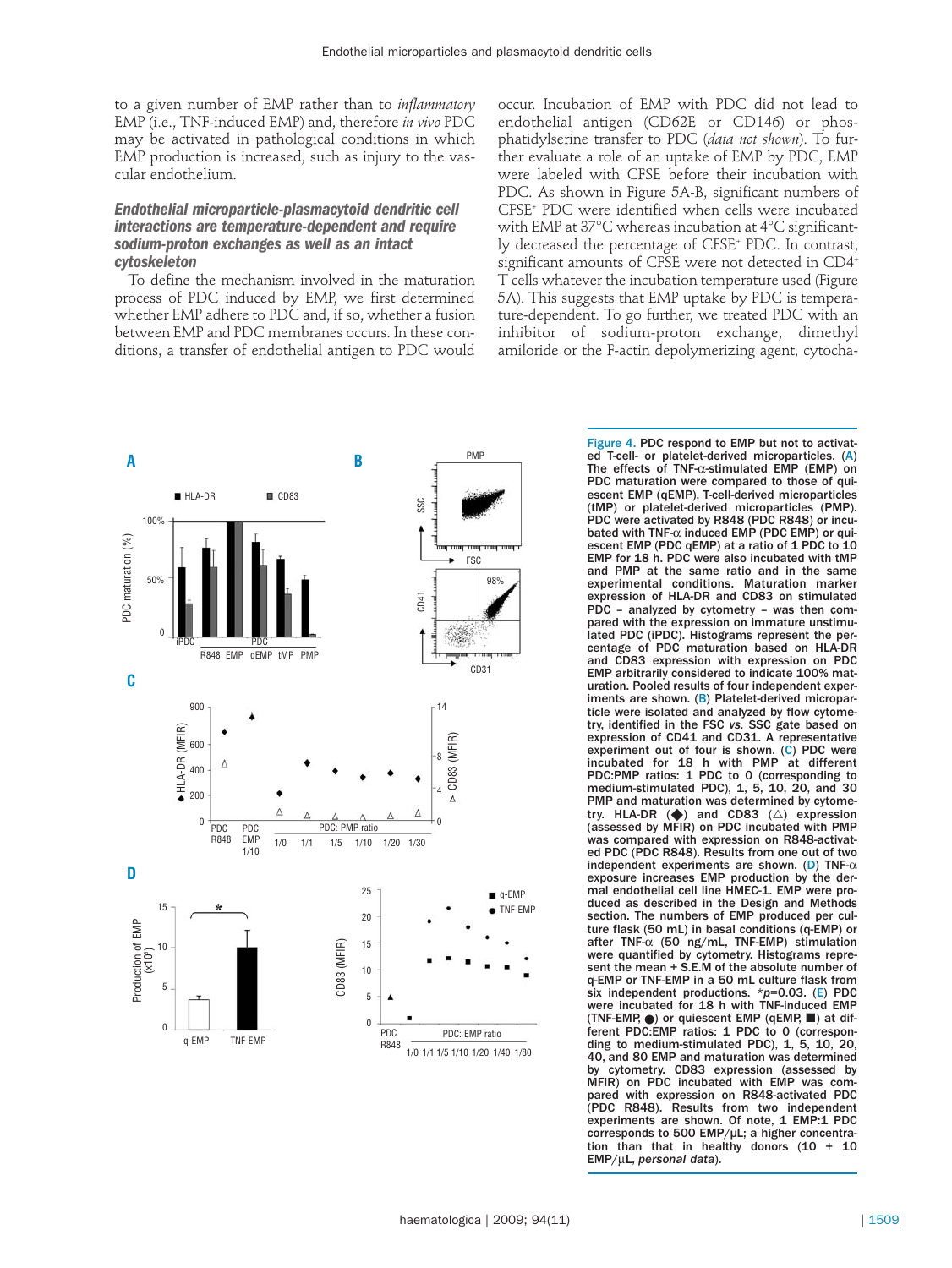to a given number of EMP rather than to *inflammatory* EMP (i.e., TNF-induced EMP) and, therefore *in vivo* PDC may be activated in pathological conditions in which EMP production is increased, such as injury to the vascular endothelium.

#### *Endothelial microparticle-plasmacytoid dendritic cell interactions are temperature-dependent and require sodium-proton exchanges as well as an intact cytoskeleton*

To define the mechanism involved in the maturation process of PDC induced by EMP, we first determined whether EMP adhere to PDC and, if so, whether a fusion between EMP and PDC membranes occurs. In these conditions, a transfer of endothelial antigen to PDC would occur. Incubation of EMP with PDC did not lead to endothelial antigen (CD62E or CD146) or phosphatidylserine transfer to PDC (*data not shown*). To further evaluate a role of an uptake of EMP by PDC, EMP were labeled with CFSE before their incubation with PDC. As shown in Figure 5A-B, significant numbers of CFSE+ PDC were identified when cells were incubated with EMP at 37°C whereas incubation at 4°C significantly decreased the percentage of CFSE+ PDC. In contrast, significant amounts of CFSE were not detected in CD4+ T cells whatever the incubation temperature used (Figure 5A). This suggests that EMP uptake by PDC is temperature-dependent. To go further, we treated PDC with an inhibitor of sodium-proton exchange, dimethyl amiloride or the F-actin depolymerizing agent, cytocha-



Figure 4. PDC respond to EMP but not to activated T-cell- or platelet-derived microparticles. (A) The effects of TNF-α-stimulated EMP (EMP) on PDC maturation were compared to those of quiescent EMP (qEMP), T-cell-derived microparticles (tMP) or platelet-derived microparticles (PMP). PDC were activated by R848 (PDC R848) or incubated with TNF- $\alpha$  induced EMP (PDC EMP) or quiescent EMP (PDC qEMP) at a ratio of 1 PDC to 10 EMP for 18 h. PDC were also incubated with tMP and PMP at the same ratio and in the same experimental conditions. Maturation marker expression of HLA-DR and CD83 on stimulated PDC – analyzed by cytometry – was then compared with the expression on immature unstimulated PDC (iPDC). Histograms represent the percentage of PDC maturation based on HLA-DR and CD83 expression with expression on PDC EMP arbitrarily considered to indicate 100% maturation. Pooled results of four independent experiments are shown. (B) Platelet-derived microparticle were isolated and analyzed by flow cytometry, identified in the FSC *vs.* SSC gate based on expression of CD41 and CD31. A representative experiment out of four is shown. (C) PDC were incubated for 18 h with PMP at different PDC:PMP ratios: 1 PDC to 0 (corresponding to medium-stimulated PDC), 1, 5, 10, 20, and 30 PMP and maturation was determined by cytometry. HLA-DR  $(\triangle)$  and CD83  $(\triangle)$  expression (assessed by MFIR) on PDC incubated with PMP was compared with expression on R848-activated PDC (PDC R848). Results from one out of two independent experiments are shown. (D) TNF- $\alpha$ exposure increases EMP production by the dermal endothelial cell line HMEC-1. EMP were produced as described in the Design and Methods section. The numbers of EMP produced per culture flask (50 mL) in basal conditions (q-EMP) or after TNF- $\alpha$  (50 ng/mL, TNF-EMP) stimulation were quantified by cytometry. Histograms represent the mean + S.E.M of the absolute number of q-EMP or TNF-EMP in a 50 mL culture flask from six independent productions. \**p*=0.03. (E) PDC were incubated for 18 h with TNF-induced EMP (TNF-EMP,  $\bullet$ ) or quiescent EMP (qEMP,  $\blacksquare$ ) at different PDC:EMP ratios: 1 PDC to 0 (corresponding to medium-stimulated PDC), 1, 5, 10, 20, 40, and 80 EMP and maturation was determined by cytometry. CD83 expression (assessed by MFIR) on PDC incubated with EMP was compared with expression on R848-activated PDC (PDC R848). Results from two independent experiments are shown. Of note, 1 EMP:1 PDC corresponds to 500 EMP/µL; a higher concentration than that in healthy donors  $(10 + 10)$ EMP/µL, *personal data*).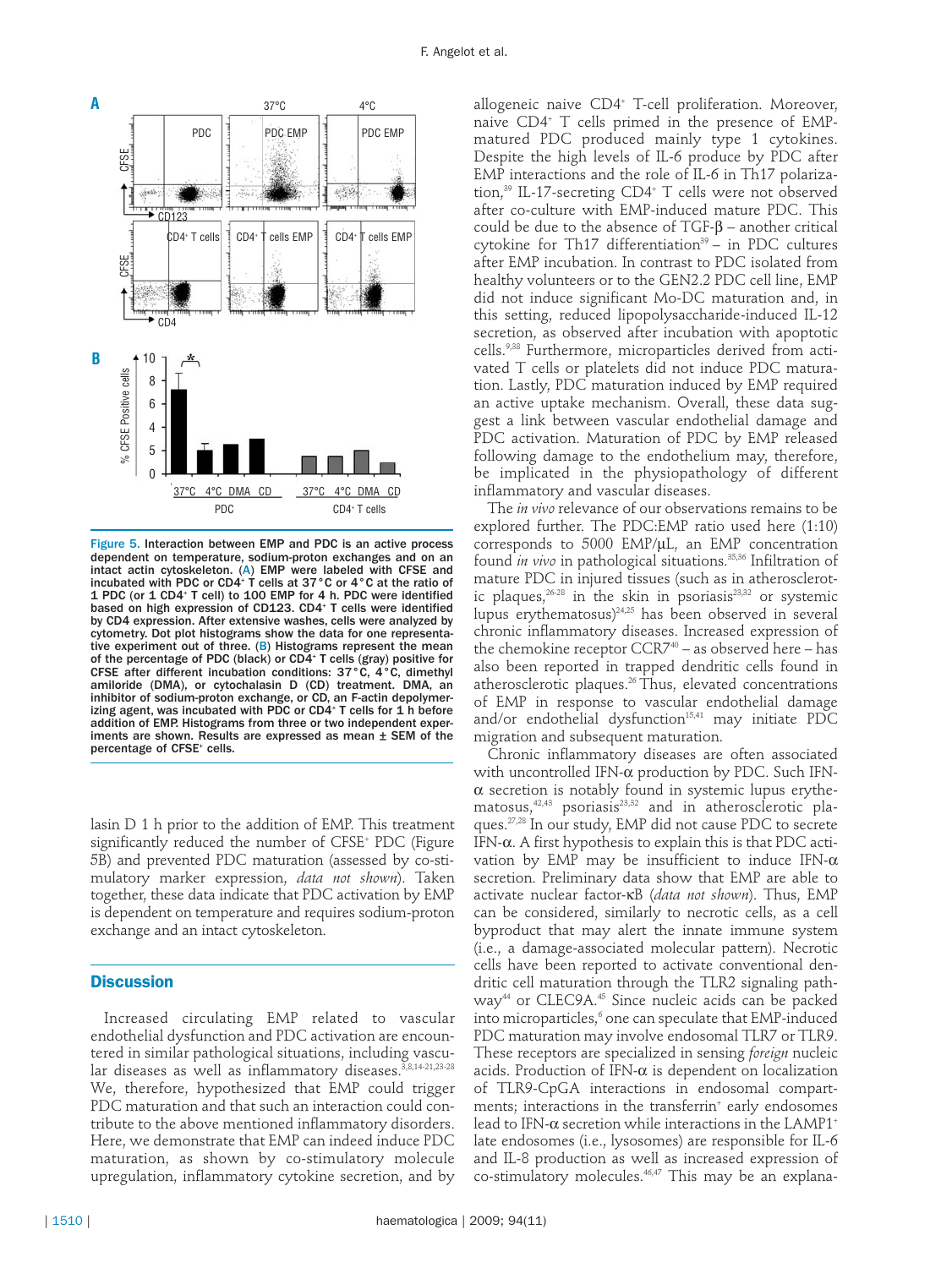

Figure 5. Interaction between EMP and PDC is an active process dependent on temperature, sodium-proton exchanges and on an intact actin cytoskeleton. (A) EMP were labeled with CFSE and incubated with PDC or CD4<sup>+</sup> T cells at 37°C or 4°C at the ratio of 1 PDC (or 1 CD4+ T cell) to 100 EMP for 4 h. PDC were identified based on high expression of CD123. CD4<sup>+</sup> T cells were identified by CD4 expression. After extensive washes, cells were analyzed by cytometry. Dot plot histograms show the data for one representative experiment out of three. (B) Histograms represent the mean of the percentage of PDC (black) or CD4+ T cells (gray) positive for CFSE after different incubation conditions: 37°C, 4°C, dimethyl amiloride (DMA), or cytochalasin D (CD) treatment. DMA, an inhibitor of sodium-proton exchange, or CD, an F-actin depolymerizing agent, was incubated with PDC or CD4<sup>+</sup> T cells for 1 h before addition of EMP. Histograms from three or two independent experiments are shown. Results are expressed as mean ± SEM of the percentage of CFSE<sup>+</sup> cells.

lasin D 1 h prior to the addition of EMP. This treatment significantly reduced the number of CFSE<sup>+</sup> PDC (Figure 5B) and prevented PDC maturation (assessed by co-stimulatory marker expression, *data not shown*). Taken together, these data indicate that PDC activation by EMP is dependent on temperature and requires sodium-proton exchange and an intact cytoskeleton.

### **Discussion**

Increased circulating EMP related to vascular endothelial dysfunction and PDC activation are encountered in similar pathological situations, including vascular diseases as well as inflammatory diseases. $\frac{3}{2}$ ,  $6,14-21,23-28$ We, therefore, hypothesized that EMP could trigger PDC maturation and that such an interaction could contribute to the above mentioned inflammatory disorders. Here, we demonstrate that EMP can indeed induce PDC maturation, as shown by co-stimulatory molecule upregulation, inflammatory cytokine secretion, and by allogeneic naive CD4+ T-cell proliferation. Moreover, naive CD4+ T cells primed in the presence of EMPmatured PDC produced mainly type 1 cytokines. Despite the high levels of IL-6 produce by PDC after EMP interactions and the role of IL-6 in Th17 polarization,<sup>39</sup> IL-17-secreting CD4<sup>+</sup> T cells were not observed after co-culture with EMP-induced mature PDC. This could be due to the absence of TGF-β – another critical cytokine for Th17 differentiation<sup>39</sup> – in PDC cultures after EMP incubation. In contrast to PDC isolated from healthy volunteers or to the GEN2.2 PDC cell line, EMP did not induce significant Mo-DC maturation and, in this setting, reduced lipopolysaccharide-induced IL-12 secretion, as observed after incubation with apoptotic cells.<sup>9,38</sup> Furthermore, microparticles derived from activated T cells or platelets did not induce PDC maturation. Lastly, PDC maturation induced by EMP required an active uptake mechanism. Overall, these data suggest a link between vascular endothelial damage and PDC activation. Maturation of PDC by EMP released following damage to the endothelium may, therefore, be implicated in the physiopathology of different inflammatory and vascular diseases.

The *in vivo* relevance of our observations remains to be explored further. The PDC:EMP ratio used here (1:10) corresponds to 5000 EMP/µL, an EMP concentration found *in vivo* in pathological situations.35,36 Infiltration of mature PDC in injured tissues (such as in atherosclerotic plaques,  $26-28$  in the skin in psoriasis  $23,32$  or systemic lupus erythematosus)24,25 has been observed in several chronic inflammatory diseases. Increased expression of the chemokine receptor  $CCR7^{40}$  – as observed here – has also been reported in trapped dendritic cells found in atherosclerotic plaques.<sup>26</sup> Thus, elevated concentrations of EMP in response to vascular endothelial damage and/or endothelial dysfunction $15,41$  may initiate PDC migration and subsequent maturation.

Chronic inflammatory diseases are often associated with uncontrolled IFN-α production by PDC. Such IFNα secretion is notably found in systemic lupus erythematosus, $42,43$  psoriasis $23,32$  and in atherosclerotic plaques.27,28 In our study, EMP did not cause PDC to secrete IFN-α. A first hypothesis to explain this is that PDC activation by EMP may be insufficient to induce IFN- $\alpha$ secretion. Preliminary data show that EMP are able to activate nuclear factor-κB (*data not shown*). Thus, EMP can be considered, similarly to necrotic cells, as a cell byproduct that may alert the innate immune system (i.e., a damage-associated molecular pattern). Necrotic cells have been reported to activate conventional dendritic cell maturation through the TLR2 signaling pathway<sup>44</sup> or CLEC9A.<sup>45</sup> Since nucleic acids can be packed into microparticles,<sup>6</sup> one can speculate that EMP-induced PDC maturation may involve endosomal TLR7 or TLR9. These receptors are specialized in sensing *foreign* nucleic acids. Production of IFN-α is dependent on localization of TLR9-CpGA interactions in endosomal compartments; interactions in the transferrin<sup>+</sup> early endosomes lead to IFN- $\alpha$  secretion while interactions in the LAMP1<sup>+</sup> late endosomes (i.e., lysosomes) are responsible for IL-6 and IL-8 production as well as increased expression of co-stimulatory molecules.46,47 This may be an explana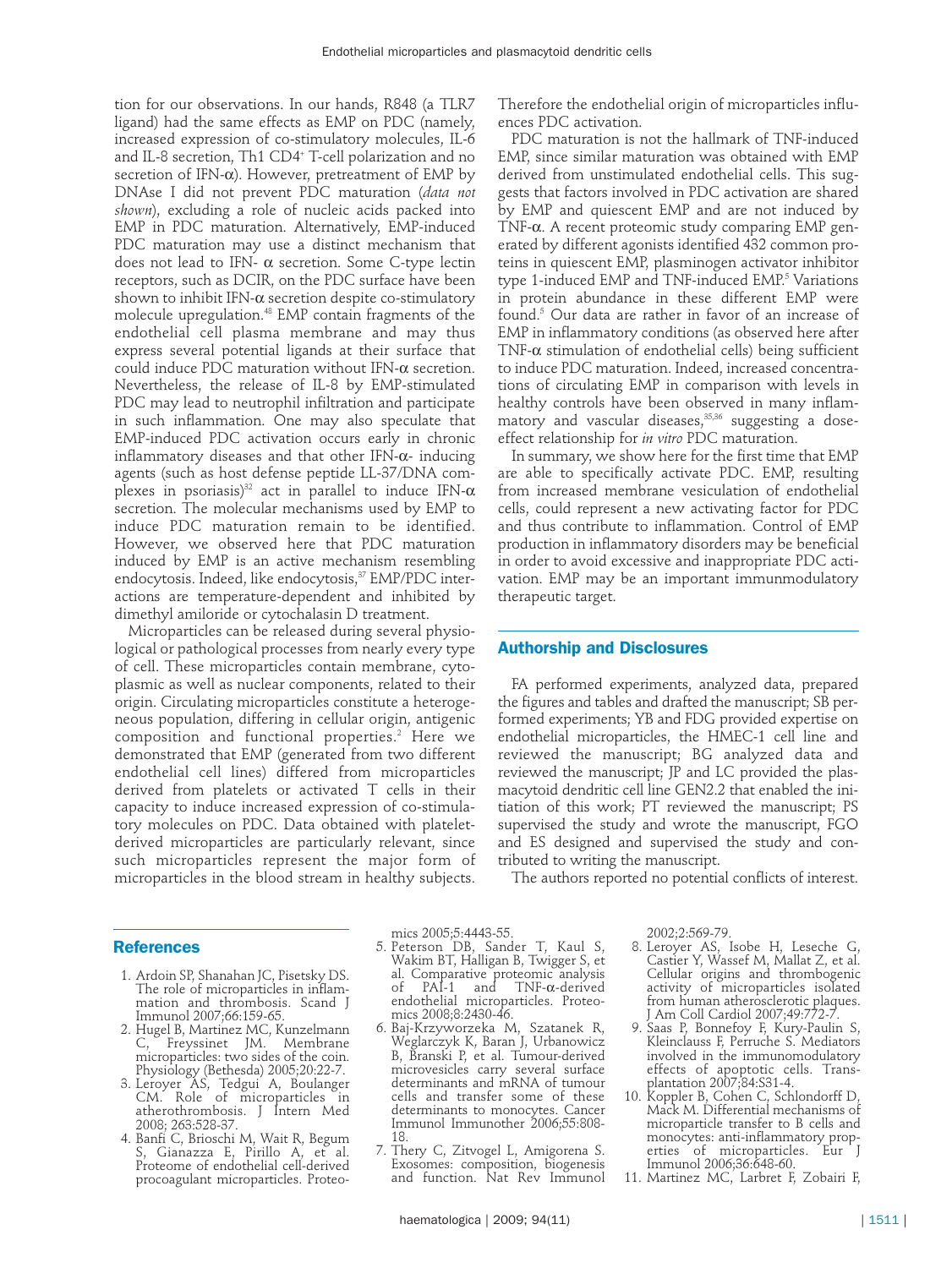tion for our observations. In our hands, R848 (a TLR7 ligand) had the same effects as EMP on PDC (namely, increased expression of co-stimulatory molecules, IL-6 and IL-8 secretion, Th1 CD4+ T-cell polarization and no secretion of IFN- $\alpha$ ). However, pretreatment of EMP by DNAse I did not prevent PDC maturation (*data not shown*), excluding a role of nucleic acids packed into EMP in PDC maturation. Alternatively, EMP-induced PDC maturation may use a distinct mechanism that does not lead to IFN- $\alpha$  secretion. Some C-type lectin receptors, such as DCIR, on the PDC surface have been shown to inhibit IFN-α secretion despite co-stimulatory molecule upregulation.48 EMP contain fragments of the endothelial cell plasma membrane and may thus express several potential ligands at their surface that could induce PDC maturation without IFN-α secretion. Nevertheless, the release of IL-8 by EMP-stimulated PDC may lead to neutrophil infiltration and participate in such inflammation. One may also speculate that EMP-induced PDC activation occurs early in chronic inflammatory diseases and that other IFN-α- inducing agents (such as host defense peptide LL-37/DNA complexes in psoriasis)<sup>32</sup> act in parallel to induce IFN- $\alpha$ secretion. The molecular mechanisms used by EMP to induce PDC maturation remain to be identified. However, we observed here that PDC maturation induced by EMP is an active mechanism resembling endocytosis. Indeed, like endocytosis,<sup>37</sup> EMP/PDC interactions are temperature-dependent and inhibited by dimethyl amiloride or cytochalasin D treatment.

Microparticles can be released during several physiological or pathological processes from nearly every type of cell. These microparticles contain membrane, cytoplasmic as well as nuclear components, related to their origin. Circulating microparticles constitute a heterogeneous population, differing in cellular origin, antigenic composition and functional properties.2 Here we demonstrated that EMP (generated from two different endothelial cell lines) differed from microparticles derived from platelets or activated T cells in their capacity to induce increased expression of co-stimulatory molecules on PDC. Data obtained with plateletderived microparticles are particularly relevant, since such microparticles represent the major form of microparticles in the blood stream in healthy subjects.

Therefore the endothelial origin of microparticles influences PDC activation.

PDC maturation is not the hallmark of TNF-induced EMP, since similar maturation was obtained with EMP derived from unstimulated endothelial cells. This suggests that factors involved in PDC activation are shared by EMP and quiescent EMP and are not induced by TNF-α. A recent proteomic study comparing EMP generated by different agonists identified 432 common proteins in quiescent EMP, plasminogen activator inhibitor type 1-induced EMP and TNF-induced EMP.<sup>5</sup> Variations in protein abundance in these different EMP were found.5 Our data are rather in favor of an increase of EMP in inflammatory conditions (as observed here after TNF-α stimulation of endothelial cells) being sufficient to induce PDC maturation. Indeed, increased concentrations of circulating EMP in comparison with levels in healthy controls have been observed in many inflammatory and vascular diseases, $35,36$  suggesting a doseeffect relationship for *in vitro* PDC maturation.

In summary, we show here for the first time that EMP are able to specifically activate PDC. EMP, resulting from increased membrane vesiculation of endothelial cells, could represent a new activating factor for PDC and thus contribute to inflammation. Control of EMP production in inflammatory disorders may be beneficial in order to avoid excessive and inappropriate PDC activation. EMP may be an important immunmodulatory therapeutic target.

#### **Authorship and Disclosures**

FA performed experiments, analyzed data, prepared the figures and tables and drafted the manuscript; SB performed experiments; YB and FDG provided expertise on endothelial microparticles, the HMEC-1 cell line and reviewed the manuscript; BG analyzed data and reviewed the manuscript; JP and LC provided the plasmacytoid dendritic cell line GEN2.2 that enabled the initiation of this work; PT reviewed the manuscript; PS supervised the study and wrote the manuscript, FGO and ES designed and supervised the study and contributed to writing the manuscript.

The authors reported no potential conflicts of interest.

#### **References**

- 1. Ardoin SP, Shanahan JC, Pisetsky DS. The role of microparticles in inflammation and thrombosis. Scand J Immunol 2007;66:159-65.
- 2. Hugel B, Martinez MC, Kunzelmann C, Freyssinet JM. Membrane microparticles: two sides of the coin. Physiology (Bethesda) 2005;20:22-7.
- 3. Leroyer AS, Tedgui A, Boulanger CM. Role of microparticles in atherothrombosis. J Intern Med 2008; 263:528-37.
- 4. Banfi C, Brioschi M, Wait R, Begum S, Gianazza E, Pirillo A, et al. Proteome of endothelial cell-derived procoagulant microparticles. Proteo-

mics 2005;5:4443-55.

- 5. Peterson DB, Sander T, Kaul S, Wakim BT, Halligan B, Twigger S, et al. Comparative proteomic analysis of PAI-1 and TNF-α-derived endothelial microparticles. Proteomics 2008;8:2430-46.
- 6. Baj-Krzyworzeka M, Szatanek R, Weglarczyk K, Baran J, Urbanowicz B, Branski P, et al. Tumour-derived microvesicles carry several surface determinants and mRNA of tumour cells and transfer some of these determinants to monocytes. Cancer Immunol Immunother 2006;55:808- 18.
- 7. Thery C, Zitvogel L, Amigorena S. Exosomes: composition, biogenesis and function. Nat Rev Immunol

2002;2:569-79.

- 8. Leroyer AS, Isobe H, Leseche G, Castier Y, Wassef M, Mallat Z, et al. Cellular origins and thrombogenic activity of microparticles isolated from human atherosclerotic plaques. J Am Coll Cardiol 2007;49:772-7.
- 9. Saas P, Bonnefoy F, Kury-Paulin S, Kleinclauss F, Perruche S. Mediators involved in the immunomodulatory effects of apoptotic cells. Transplantation 2007;84:S31-4.
- 10. Koppler B, Cohen C, Schlondorff D, Mack M. Differential mechanisms of microparticle transfer to B cells and monocytes: anti-inflammatory properties of microparticles. Eur J Immunol 2006;36:648-60.
- 11. Martinez MC, Larbret F, Zobairi F,